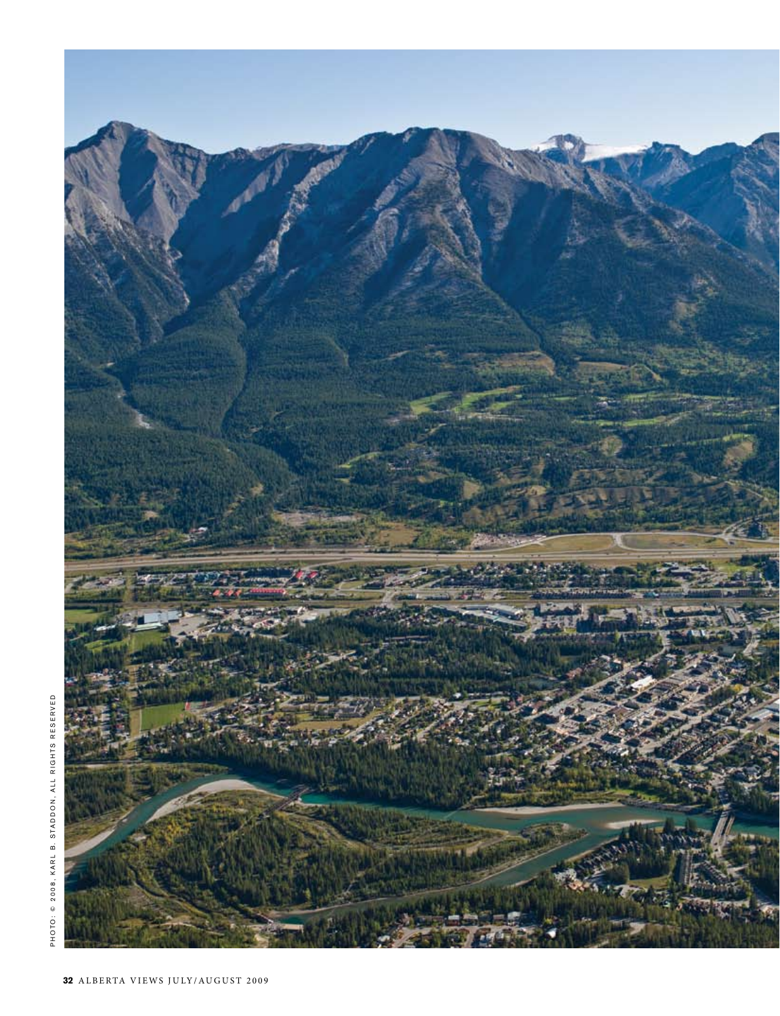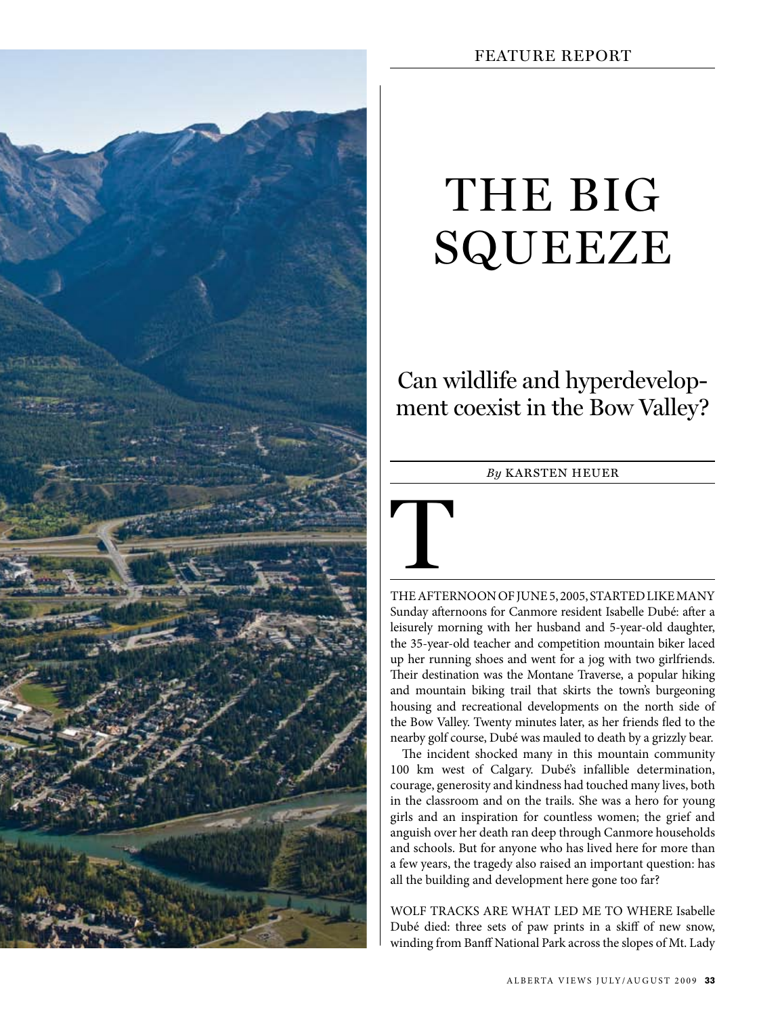

# THE BIG SQUEEZE

Can wildlife and hyperdevelopment coexist in the Bow Valley?

### *By* karsten heuer



THE AFTERNOON OF JUNE 5, 2005, STARTED LIKE MANY Sunday afternoons for Canmore resident Isabelle Dubé: after a leisurely morning with her husband and 5-year-old daughter, the 35-year-old teacher and competition mountain biker laced up her running shoes and went for a jog with two girlfriends. Their destination was the Montane Traverse, a popular hiking and mountain biking trail that skirts the town's burgeoning housing and recreational developments on the north side of the Bow Valley. Twenty minutes later, as her friends fled to the nearby golf course, Dubé was mauled to death by a grizzly bear.

The incident shocked many in this mountain community 100 km west of Calgary. Dubé's infallible determination, courage, generosity and kindness had touched many lives, both in the classroom and on the trails. She was a hero for young girls and an inspiration for countless women; the grief and anguish over her death ran deep through Canmore households and schools. But for anyone who has lived here for more than a few years, the tragedy also raised an important question: has all the building and development here gone too far?

Wolf tracks are what led me to where Isabelle Dubé died: three sets of paw prints in a skiff of new snow, winding from Banff National Park across the slopes of Mt. Lady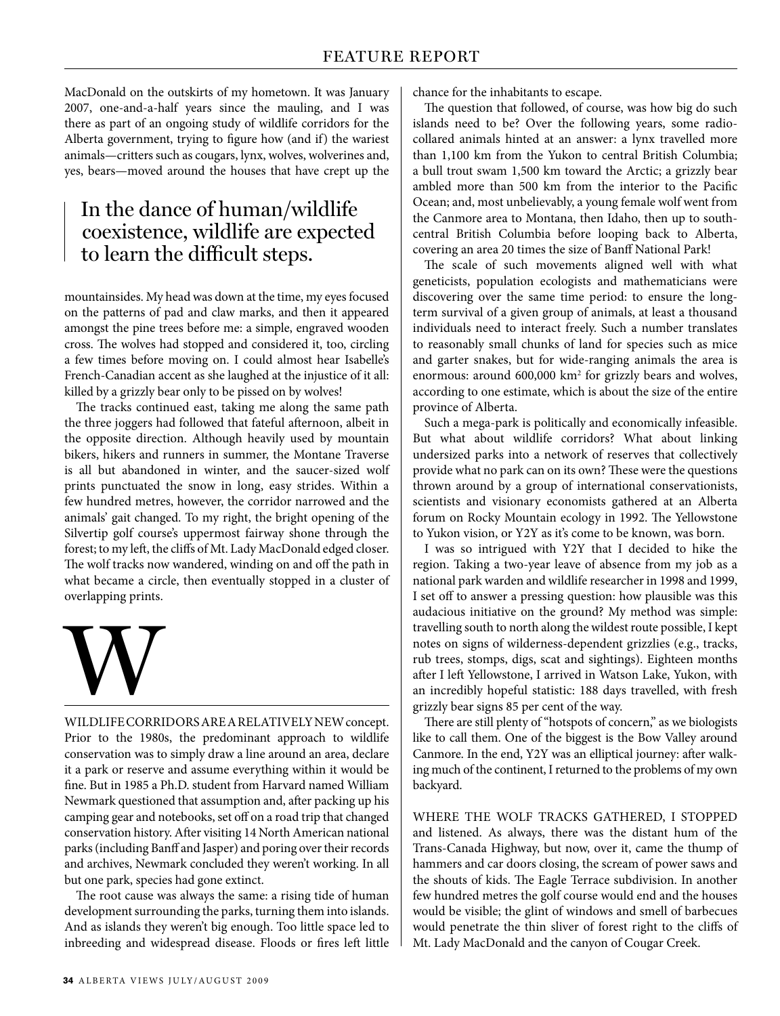MacDonald on the outskirts of my hometown. It was January 2007, one-and-a-half years since the mauling, and I was there as part of an ongoing study of wildlife corridors for the Alberta government, trying to figure how (and if) the wariest animals—critters such as cougars, lynx, wolves, wolverines and, yes, bears—moved around the houses that have crept up the

## In the dance of human/wildlife coexistence, wildlife are expected to learn the difficult steps.

mountainsides. My head was down at the time, my eyes focused on the patterns of pad and claw marks, and then it appeared amongst the pine trees before me: a simple, engraved wooden cross. The wolves had stopped and considered it, too, circling a few times before moving on. I could almost hear Isabelle's French-Canadian accent as she laughed at the injustice of it all: killed by a grizzly bear only to be pissed on by wolves!

The tracks continued east, taking me along the same path the three joggers had followed that fateful afternoon, albeit in the opposite direction. Although heavily used by mountain bikers, hikers and runners in summer, the Montane Traverse is all but abandoned in winter, and the saucer-sized wolf prints punctuated the snow in long, easy strides. Within a few hundred metres, however, the corridor narrowed and the animals' gait changed. To my right, the bright opening of the Silvertip golf course's uppermost fairway shone through the forest; to my left, the cliffs of Mt. Lady MacDonald edged closer. The wolf tracks now wandered, winding on and off the path in what became a circle, then eventually stopped in a cluster of overlapping prints.



WILDLIFECORRIDORS ARE A RELATIVELY NEW concept. Prior to the 1980s, the predominant approach to wildlife conservation was to simply draw a line around an area, declare it a park or reserve and assume everything within it would be fine. But in 1985 a Ph.D. student from Harvard named William Newmark questioned that assumption and, after packing up his camping gear and notebooks, set off on a road trip that changed conservation history. After visiting 14 North American national parks (including Banff and Jasper) and poring over their records and archives, Newmark concluded they weren't working. In all but one park, species had gone extinct.

The root cause was always the same: a rising tide of human development surrounding the parks, turning them into islands. And as islands they weren't big enough. Too little space led to inbreeding and widespread disease. Floods or fires left little

chance for the inhabitants to escape.

The question that followed, of course, was how big do such islands need to be? Over the following years, some radiocollared animals hinted at an answer: a lynx travelled more than 1,100 km from the Yukon to central British Columbia; a bull trout swam 1,500 km toward the Arctic; a grizzly bear ambled more than 500 km from the interior to the Pacific Ocean; and, most unbelievably, a young female wolf went from the Canmore area to Montana, then Idaho, then up to southcentral British Columbia before looping back to Alberta, covering an area 20 times the size of Banff National Park!

The scale of such movements aligned well with what geneticists, population ecologists and mathematicians were discovering over the same time period: to ensure the longterm survival of a given group of animals, at least a thousand individuals need to interact freely. Such a number translates to reasonably small chunks of land for species such as mice and garter snakes, but for wide-ranging animals the area is enormous: around 600,000 km<sup>2</sup> for grizzly bears and wolves, according to one estimate, which is about the size of the entire province of Alberta.

Such a mega-park is politically and economically infeasible. But what about wildlife corridors? What about linking undersized parks into a network of reserves that collectively provide what no park can on its own? These were the questions thrown around by a group of international conservationists, scientists and visionary economists gathered at an Alberta forum on Rocky Mountain ecology in 1992. The Yellowstone to Yukon vision, or Y2Y as it's come to be known, was born.

I was so intrigued with Y2Y that I decided to hike the region. Taking a two-year leave of absence from my job as a national park warden and wildlife researcher in 1998 and 1999, I set off to answer a pressing question: how plausible was this audacious initiative on the ground? My method was simple: travelling south to north along the wildest route possible, I kept notes on signs of wilderness-dependent grizzlies (e.g., tracks, rub trees, stomps, digs, scat and sightings). Eighteen months after I left Yellowstone, I arrived in Watson Lake, Yukon, with an incredibly hopeful statistic: 188 days travelled, with fresh grizzly bear signs 85 per cent of the way.

There are still plenty of "hotspots of concern," as we biologists like to call them. One of the biggest is the Bow Valley around Canmore. In the end, Y2Y was an elliptical journey: after walking much of the continent, I returned to the problems of my own backyard.

Where the wolf tracks gathered, I stopped and listened. As always, there was the distant hum of the Trans-Canada Highway, but now, over it, came the thump of hammers and car doors closing, the scream of power saws and the shouts of kids. The Eagle Terrace subdivision. In another few hundred metres the golf course would end and the houses would be visible; the glint of windows and smell of barbecues would penetrate the thin sliver of forest right to the cliffs of Mt. Lady MacDonald and the canyon of Cougar Creek.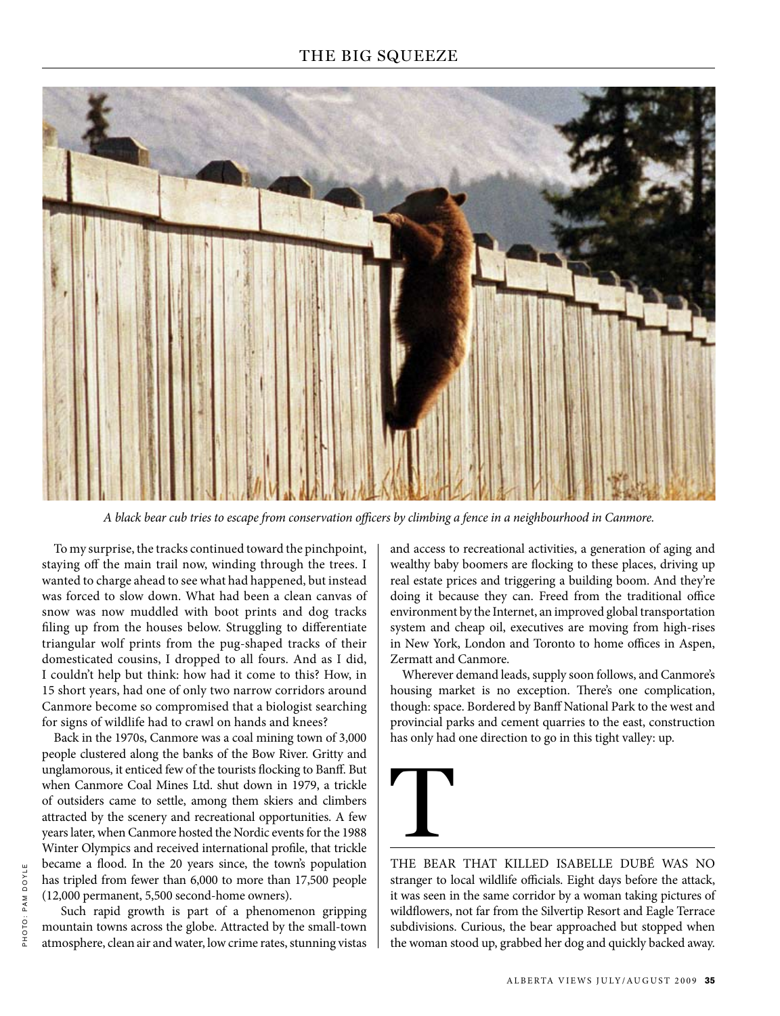

*A black bear cub tries to escape from conservation officers by climbing a fence in a neighbourhood in Canmore.*

To my surprise, the tracks continued toward the pinchpoint, staying off the main trail now, winding through the trees. I wanted to charge ahead to see what had happened, but instead was forced to slow down. What had been a clean canvas of snow was now muddled with boot prints and dog tracks filing up from the houses below. Struggling to differentiate triangular wolf prints from the pug-shaped tracks of their domesticated cousins, I dropped to all fours. And as I did, I couldn't help but think: how had it come to this? How, in 15 short years, had one of only two narrow corridors around Canmore become so compromised that a biologist searching for signs of wildlife had to crawl on hands and knees?

Back in the 1970s, Canmore was a coal mining town of 3,000 people clustered along the banks of the Bow River. Gritty and unglamorous, it enticed few of the tourists flocking to Banff. But when Canmore Coal Mines Ltd. shut down in 1979, a trickle of outsiders came to settle, among them skiers and climbers attracted by the scenery and recreational opportunities. A few years later, when Canmore hosted the Nordic events for the 1988 Winter Olympics and received international profile, that trickle became a flood. In the 20 years since, the town's population has tripled from fewer than 6,000 to more than 17,500 people (12,000 permanent, 5,500 second-home owners).

 Such rapid growth is part of a phenomenon gripping mountain towns across the globe. Attracted by the small-town atmosphere, clean air and water, low crime rates, stunning vistas

and access to recreational activities, a generation of aging and wealthy baby boomers are flocking to these places, driving up real estate prices and triggering a building boom. And they're doing it because they can. Freed from the traditional office environment by the Internet, an improved global transportation system and cheap oil, executives are moving from high-rises in New York, London and Toronto to home offices in Aspen, Zermatt and Canmore.

Wherever demand leads, supply soon follows, and Canmore's housing market is no exception. There's one complication, though: space. Bordered by Banff National Park to the west and provincial parks and cement quarries to the east, construction has only had one direction to go in this tight valley: up.



The bear that killed Isabelle Dubé was no stranger to local wildlife officials. Eight days before the attack, it was seen in the same corridor by a woman taking pictures of wildflowers, not far from the Silvertip Resort and Eagle Terrace subdivisions. Curious, the bear approached but stopped when the woman stood up, grabbed her dog and quickly backed away.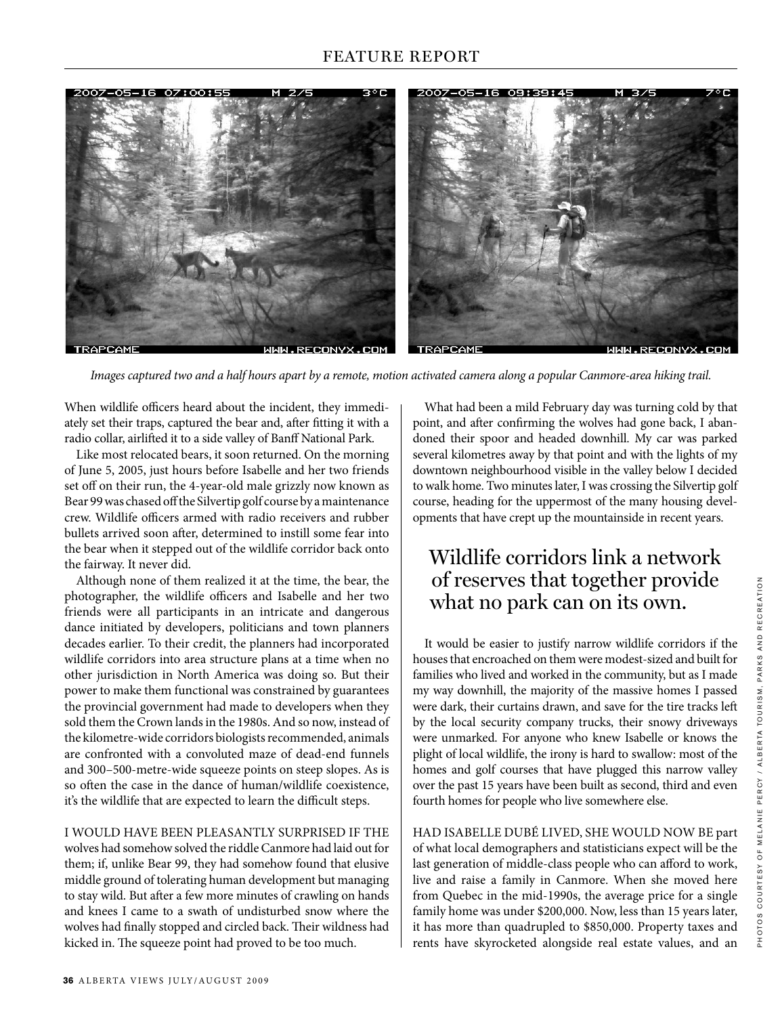

*Images captured two and a half hours apart by a remote, motion activated camera along a popular Canmore-area hiking trail.*

When wildlife officers heard about the incident, they immediately set their traps, captured the bear and, after fitting it with a radio collar, airlifted it to a side valley of Banff National Park.

Like most relocated bears, it soon returned. On the morning of June 5, 2005, just hours before Isabelle and her two friends set off on their run, the 4-year-old male grizzly now known as Bear 99 was chased off the Silvertip golf course by a maintenance crew. Wildlife officers armed with radio receivers and rubber bullets arrived soon after, determined to instill some fear into the bear when it stepped out of the wildlife corridor back onto the fairway. It never did.

Although none of them realized it at the time, the bear, the photographer, the wildlife officers and Isabelle and her two friends were all participants in an intricate and dangerous dance initiated by developers, politicians and town planners decades earlier. To their credit, the planners had incorporated wildlife corridors into area structure plans at a time when no other jurisdiction in North America was doing so. But their power to make them functional was constrained by guarantees the provincial government had made to developers when they sold them the Crown lands in the 1980s. And so now, instead of the kilometre-wide corridors biologists recommended, animals are confronted with a convoluted maze of dead-end funnels and 300–500-metre-wide squeeze points on steep slopes. As is so often the case in the dance of human/wildlife coexistence, it's the wildlife that are expected to learn the difficult steps.

#### I would have been pleasantly surprised if the

wolves had somehow solved the riddle Canmore had laid out for them; if, unlike Bear 99, they had somehow found that elusive middle ground of tolerating human development but managing to stay wild. But after a few more minutes of crawling on hands and knees I came to a swath of undisturbed snow where the wolves had finally stopped and circled back. Their wildness had kicked in. The squeeze point had proved to be too much.

What had been a mild February day was turning cold by that point, and after confirming the wolves had gone back, I abandoned their spoor and headed downhill. My car was parked several kilometres away by that point and with the lights of my downtown neighbourhood visible in the valley below I decided to walk home. Two minutes later, I was crossing the Silvertip golf course, heading for the uppermost of the many housing developments that have crept up the mountainside in recent years.

## Wildlife corridors link a network of reserves that together provide what no park can on its own.

It would be easier to justify narrow wildlife corridors if the houses that encroached on them were modest-sized and built for families who lived and worked in the community, but as I made my way downhill, the majority of the massive homes I passed were dark, their curtains drawn, and save for the tire tracks left by the local security company trucks, their snowy driveways were unmarked. For anyone who knew Isabelle or knows the plight of local wildlife, the irony is hard to swallow: most of the homes and golf courses that have plugged this narrow valley over the past 15 years have been built as second, third and even fourth homes for people who live somewhere else.

Had Isabelle Dubé lived, she would now be part of what local demographers and statisticians expect will be the last generation of middle-class people who can afford to work, live and raise a family in Canmore. When she moved here from Quebec in the mid-1990s, the average price for a single family home was under \$200,000. Now, less than 15 years later, it has more than quadrupled to \$850,000. Property taxes and rents have skyrocketed alongside real estate values, and an